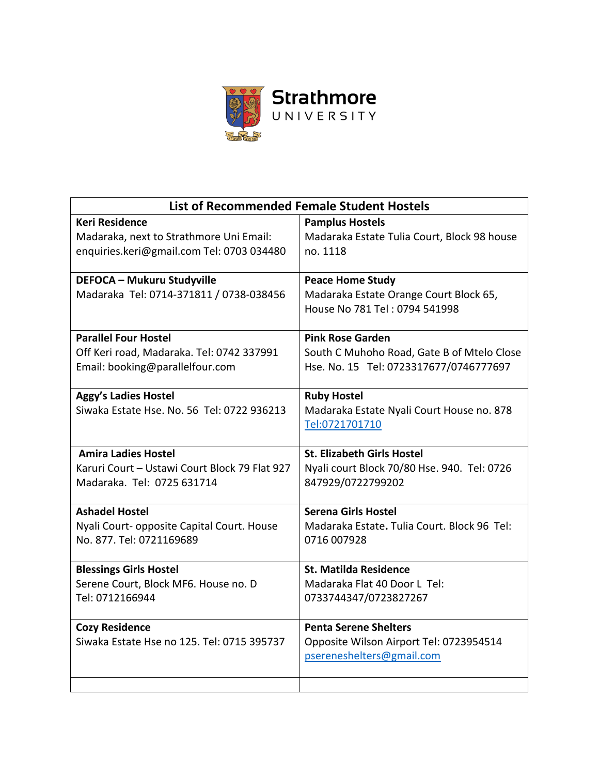

| <b>List of Recommended Female Student Hostels</b> |                                             |
|---------------------------------------------------|---------------------------------------------|
| <b>Keri Residence</b>                             | <b>Pamplus Hostels</b>                      |
| Madaraka, next to Strathmore Uni Email:           | Madaraka Estate Tulia Court, Block 98 house |
| enquiries.keri@gmail.com Tel: 0703 034480         | no. 1118                                    |
| <b>DEFOCA - Mukuru Studyville</b>                 | <b>Peace Home Study</b>                     |
| Madaraka Tel: 0714-371811 / 0738-038456           | Madaraka Estate Orange Court Block 65,      |
|                                                   | House No 781 Tel: 0794 541998               |
|                                                   |                                             |
| <b>Parallel Four Hostel</b>                       | <b>Pink Rose Garden</b>                     |
| Off Keri road, Madaraka. Tel: 0742 337991         | South C Muhoho Road, Gate B of Mtelo Close  |
| Email: booking@parallelfour.com                   | Hse. No. 15 Tel: 0723317677/0746777697      |
| <b>Aggy's Ladies Hostel</b>                       | <b>Ruby Hostel</b>                          |
| Siwaka Estate Hse. No. 56 Tel: 0722 936213        | Madaraka Estate Nyali Court House no. 878   |
|                                                   | Tel:0721701710                              |
|                                                   |                                             |
| <b>Amira Ladies Hostel</b>                        | <b>St. Elizabeth Girls Hostel</b>           |
| Karuri Court - Ustawi Court Block 79 Flat 927     | Nyali court Block 70/80 Hse. 940. Tel: 0726 |
| Madaraka, Tel: 0725 631714                        | 847929/0722799202                           |
| <b>Ashadel Hostel</b>                             | <b>Serena Girls Hostel</b>                  |
| Nyali Court- opposite Capital Court. House        | Madaraka Estate. Tulia Court. Block 96 Tel: |
| No. 877. Tel: 0721169689                          | 0716 007928                                 |
|                                                   |                                             |
| <b>Blessings Girls Hostel</b>                     | <b>St. Matilda Residence</b>                |
| Serene Court, Block MF6. House no. D              | Madaraka Flat 40 Door L Tel:                |
| Tel: 0712166944                                   | 0733744347/0723827267                       |
| <b>Cozy Residence</b>                             | <b>Penta Serene Shelters</b>                |
| Siwaka Estate Hse no 125, Tel: 0715 395737        | Opposite Wilson Airport Tel: 0723954514     |
|                                                   | psereneshelters@gmail.com                   |
|                                                   |                                             |
|                                                   |                                             |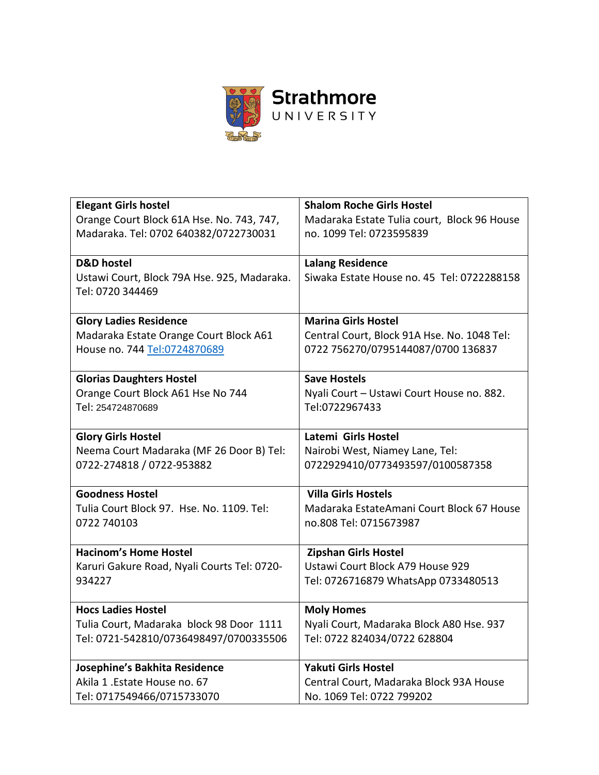

| <b>Elegant Girls hostel</b>                 | <b>Shalom Roche Girls Hostel</b>            |
|---------------------------------------------|---------------------------------------------|
| Orange Court Block 61A Hse. No. 743, 747,   | Madaraka Estate Tulia court, Block 96 House |
| Madaraka. Tel: 0702 640382/0722730031       | no. 1099 Tel: 0723595839                    |
|                                             |                                             |
| <b>D&amp;D</b> hostel                       | <b>Lalang Residence</b>                     |
| Ustawi Court, Block 79A Hse. 925, Madaraka. | Siwaka Estate House no. 45 Tel: 0722288158  |
| Tel: 0720 344469                            |                                             |
|                                             |                                             |
| <b>Glory Ladies Residence</b>               | <b>Marina Girls Hostel</b>                  |
| Madaraka Estate Orange Court Block A61      | Central Court, Block 91A Hse. No. 1048 Tel: |
| House no. 744 Tel:0724870689                | 0722 756270/0795144087/0700 136837          |
|                                             |                                             |
| <b>Glorias Daughters Hostel</b>             | <b>Save Hostels</b>                         |
| Orange Court Block A61 Hse No 744           | Nyali Court - Ustawi Court House no. 882.   |
| Tel: 254724870689                           | Tel:0722967433                              |
|                                             |                                             |
| <b>Glory Girls Hostel</b>                   | Latemi Girls Hostel                         |
| Neema Court Madaraka (MF 26 Door B) Tel:    | Nairobi West, Niamey Lane, Tel:             |
| 0722-274818 / 0722-953882                   | 0722929410/0773493597/0100587358            |
|                                             |                                             |
| <b>Goodness Hostel</b>                      | <b>Villa Girls Hostels</b>                  |
| Tulia Court Block 97. Hse. No. 1109. Tel:   | Madaraka EstateAmani Court Block 67 House   |
| 0722 740103                                 | no.808 Tel: 0715673987                      |
|                                             |                                             |
| <b>Hacinom's Home Hostel</b>                | <b>Zipshan Girls Hostel</b>                 |
| Karuri Gakure Road, Nyali Courts Tel: 0720- | Ustawi Court Block A79 House 929            |
| 934227                                      | Tel: 0726716879 WhatsApp 0733480513         |
| <b>Hocs Ladies Hostel</b>                   | <b>Moly Homes</b>                           |
| Tulia Court, Madaraka block 98 Door 1111    | Nyali Court, Madaraka Block A80 Hse. 937    |
| Tel: 0721-542810/0736498497/0700335506      | Tel: 0722 824034/0722 628804                |
|                                             |                                             |
| Josephine's Bakhita Residence               | <b>Yakuti Girls Hostel</b>                  |
| Akila 1. Estate House no. 67                | Central Court, Madaraka Block 93A House     |
| Tel: 0717549466/0715733070                  | No. 1069 Tel: 0722 799202                   |